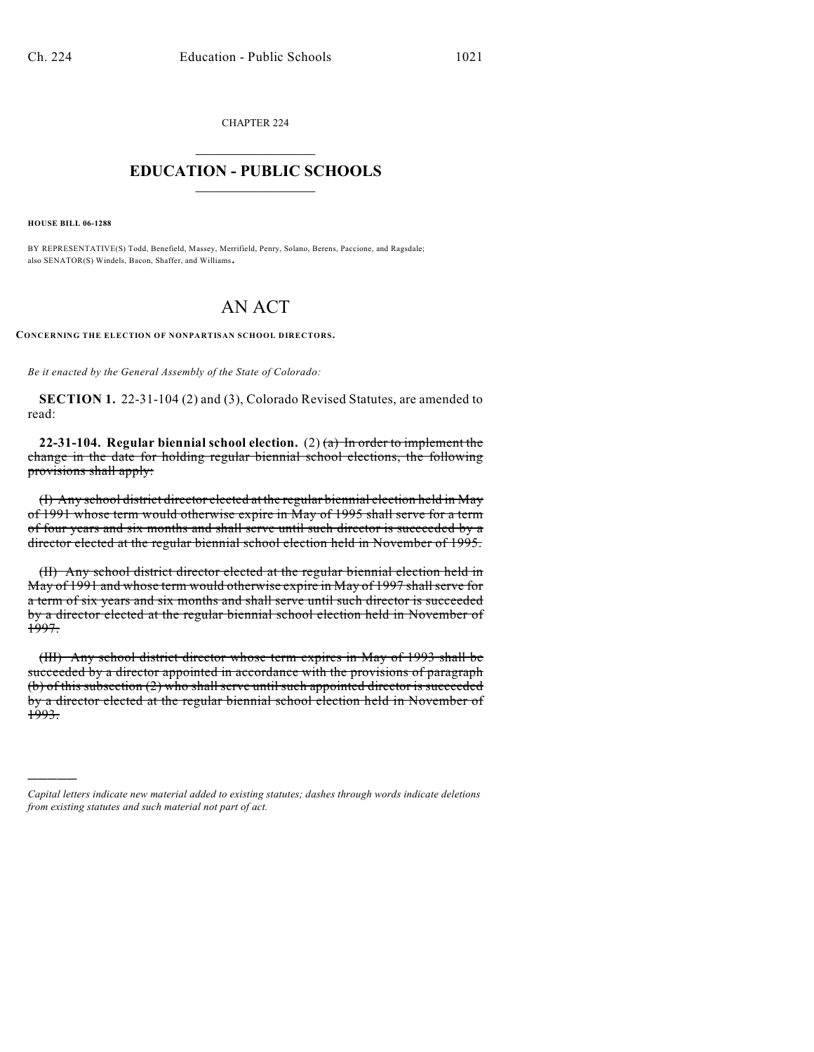CHAPTER 224  $\mathcal{L}_\text{max}$  . The set of the set of the set of the set of the set of the set of the set of the set of the set of the set of the set of the set of the set of the set of the set of the set of the set of the set of the set

## **EDUCATION - PUBLIC SCHOOLS**  $\_$   $\_$   $\_$   $\_$   $\_$   $\_$   $\_$   $\_$   $\_$

**HOUSE BILL 06-1288**

)))))

BY REPRESENTATIVE(S) Todd, Benefield, Massey, Merrifield, Penry, Solano, Berens, Paccione, and Ragsdale; also SENATOR(S) Windels, Bacon, Shaffer, and Williams.

## AN ACT

**CONCERNING THE ELECTION OF NONPARTISAN SCHOOL DIRECTORS.**

*Be it enacted by the General Assembly of the State of Colorado:*

**SECTION 1.** 22-31-104 (2) and (3), Colorado Revised Statutes, are amended to read:

**22-31-104. Regular biennial school election.** (2) (a) In order to implement the change in the date for holding regular biennial school elections, the following provisions shall apply:

(I) Any school district director elected at the regular biennial election held in May of 1991 whose term would otherwise expire in May of 1995 shall serve for a term of four years and six months and shall serve until such director is succeeded by a director elected at the regular biennial school election held in November of 1995.

(II) Any school district director elected at the regular biennial election held in May of 1991 and whose term would otherwise expire in May of 1997 shallserve for a term of six years and six months and shall serve until such director is succeeded by a director elected at the regular biennial school election held in November of 1997.

(III) Any school district director whose term expires in May of 1993 shall be succeeded by a director appointed in accordance with the provisions of paragraph (b) of this subsection (2) who shall serve until such appointed director is succeeded by a director elected at the regular biennial school election held in November of 1993.

*Capital letters indicate new material added to existing statutes; dashes through words indicate deletions from existing statutes and such material not part of act.*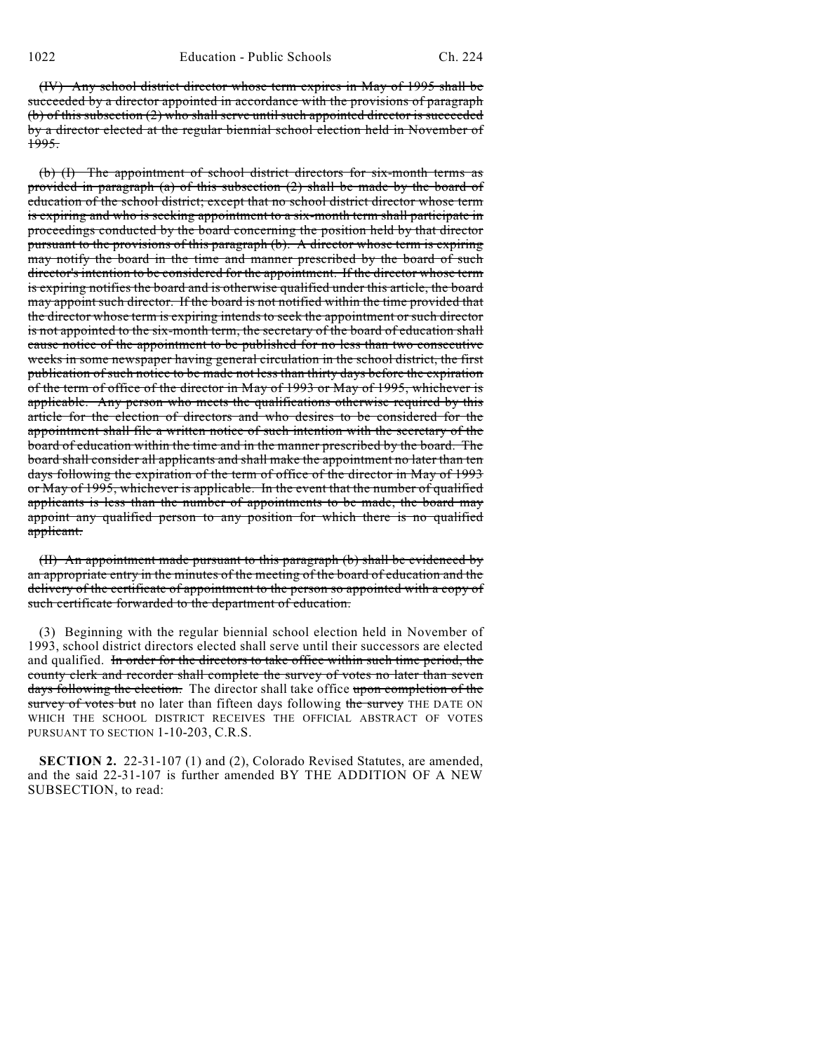(IV) Any school district director whose term expires in May of 1995 shall be succeeded by a director appointed in accordance with the provisions of paragraph (b) of this subsection (2) who shall serve until such appointed director is succeeded by a director elected at the regular biennial school election held in November of 1995.

(b) (I) The appointment of school district directors for six-month terms as provided in paragraph (a) of this subsection (2) shall be made by the board of education of the school district; except that no school district director whose term is expiring and who is seeking appointment to a six-month term shall participate in proceedings conducted by the board concerning the position held by that director pursuant to the provisions of this paragraph (b). A director whose term is expiring may notify the board in the time and manner prescribed by the board of such director's intention to be considered for the appointment. If the director whose term is expiring notifies the board and is otherwise qualified under this article, the board may appoint such director. If the board is not notified within the time provided that the director whose term is expiring intends to seek the appointment or such director is not appointed to the six-month term, the secretary of the board of education shall cause notice of the appointment to be published for no less than two consecutive weeks in some newspaper having general circulation in the school district, the first publication of such notice to be made not less than thirty days before the expiration of the term of office of the director in May of 1993 or May of 1995, whichever is applicable. Any person who meets the qualifications otherwise required by this article for the election of directors and who desires to be considered for the appointment shall file a written notice of such intention with the secretary of the board of education within the time and in the manner prescribed by the board. The board shall consider all applicants and shall make the appointment no later than ten days following the expiration of the term of office of the director in May of 1993 or May of 1995, whichever is applicable. In the event that the number of qualified applicants is less than the number of appointments to be made, the board may appoint any qualified person to any position for which there is no qualified applicant.

(II) An appointment made pursuant to this paragraph (b) shall be evidenced by an appropriate entry in the minutes of the meeting of the board of education and the delivery of the certificate of appointment to the person so appointed with a copy of such certificate forwarded to the department of education.

(3) Beginning with the regular biennial school election held in November of 1993, school district directors elected shall serve until their successors are elected and qualified. In order for the directors to take office within such time period, the county clerk and recorder shall complete the survey of votes no later than seven days following the election. The director shall take office upon completion of the survey of votes but no later than fifteen days following the survey THE DATE ON WHICH THE SCHOOL DISTRICT RECEIVES THE OFFICIAL ABSTRACT OF VOTES PURSUANT TO SECTION 1-10-203, C.R.S.

**SECTION 2.** 22-31-107 (1) and (2), Colorado Revised Statutes, are amended, and the said 22-31-107 is further amended BY THE ADDITION OF A NEW SUBSECTION, to read: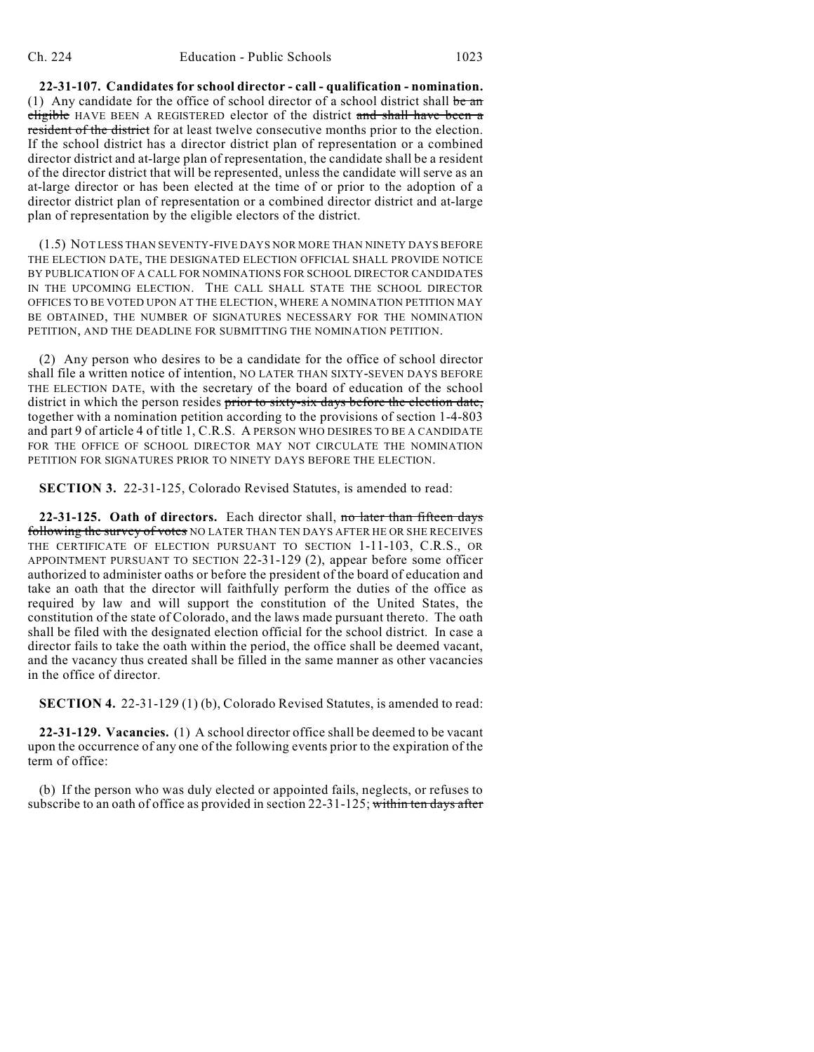**22-31-107. Candidates for school director - call - qualification - nomination.** (1) Any candidate for the office of school director of a school district shall be an eligible HAVE BEEN A REGISTERED elector of the district and shall have been a resident of the district for at least twelve consecutive months prior to the election. If the school district has a director district plan of representation or a combined director district and at-large plan of representation, the candidate shall be a resident of the director district that will be represented, unless the candidate will serve as an at-large director or has been elected at the time of or prior to the adoption of a director district plan of representation or a combined director district and at-large plan of representation by the eligible electors of the district.

(1.5) NOT LESS THAN SEVENTY-FIVE DAYS NOR MORE THAN NINETY DAYS BEFORE THE ELECTION DATE, THE DESIGNATED ELECTION OFFICIAL SHALL PROVIDE NOTICE BY PUBLICATION OF A CALL FOR NOMINATIONS FOR SCHOOL DIRECTOR CANDIDATES IN THE UPCOMING ELECTION. THE CALL SHALL STATE THE SCHOOL DIRECTOR OFFICES TO BE VOTED UPON AT THE ELECTION, WHERE A NOMINATION PETITION MAY BE OBTAINED, THE NUMBER OF SIGNATURES NECESSARY FOR THE NOMINATION PETITION, AND THE DEADLINE FOR SUBMITTING THE NOMINATION PETITION.

(2) Any person who desires to be a candidate for the office of school director shall file a written notice of intention, NO LATER THAN SIXTY-SEVEN DAYS BEFORE THE ELECTION DATE, with the secretary of the board of education of the school district in which the person resides prior to sixty-six days before the election date, together with a nomination petition according to the provisions of section 1-4-803 and part 9 of article 4 of title 1, C.R.S. A PERSON WHO DESIRES TO BE A CANDIDATE FOR THE OFFICE OF SCHOOL DIRECTOR MAY NOT CIRCULATE THE NOMINATION PETITION FOR SIGNATURES PRIOR TO NINETY DAYS BEFORE THE ELECTION.

**SECTION 3.** 22-31-125, Colorado Revised Statutes, is amended to read:

**22-31-125. Oath of directors.** Each director shall, no later than fifteen days following the survey of votes NO LATER THAN TEN DAYS AFTER HE OR SHE RECEIVES THE CERTIFICATE OF ELECTION PURSUANT TO SECTION 1-11-103, C.R.S., OR APPOINTMENT PURSUANT TO SECTION 22-31-129 (2), appear before some officer authorized to administer oaths or before the president of the board of education and take an oath that the director will faithfully perform the duties of the office as required by law and will support the constitution of the United States, the constitution of the state of Colorado, and the laws made pursuant thereto. The oath shall be filed with the designated election official for the school district. In case a director fails to take the oath within the period, the office shall be deemed vacant, and the vacancy thus created shall be filled in the same manner as other vacancies in the office of director.

**SECTION 4.** 22-31-129 (1) (b), Colorado Revised Statutes, is amended to read:

**22-31-129. Vacancies.** (1) A school director office shall be deemed to be vacant upon the occurrence of any one of the following events prior to the expiration of the term of office:

(b) If the person who was duly elected or appointed fails, neglects, or refuses to subscribe to an oath of office as provided in section 22-31-125; within ten days after